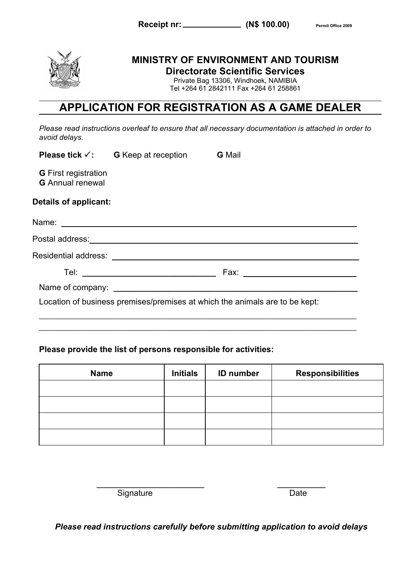



## **MINISTRY OF ENVIRONMENT AND TOURISM Directorate Scientific Services**

Private Bag 13306, Windhoek, NAMIBIA Tel +264 61 2842111 Fax +264 61 258861

# **APPLICATION FOR REGISTRATION AS A GAME DEALER**

*Please read instructions overleaf to ensure that all necessary documentation is attached in order to avoid delays.*

|                                                        | <b>Please tick <math>\checkmark</math>:</b> G Keep at reception G Mail |                                                                             |
|--------------------------------------------------------|------------------------------------------------------------------------|-----------------------------------------------------------------------------|
| <b>G</b> First registration<br><b>G</b> Annual renewal |                                                                        |                                                                             |
| Details of applicant:                                  |                                                                        |                                                                             |
|                                                        |                                                                        |                                                                             |
|                                                        |                                                                        |                                                                             |
|                                                        |                                                                        |                                                                             |
|                                                        |                                                                        |                                                                             |
|                                                        |                                                                        |                                                                             |
|                                                        |                                                                        | Location of business premises/premises at which the animals are to be kept: |

**\_\_\_\_\_\_\_\_\_\_\_\_\_\_\_\_\_\_\_\_\_\_\_\_\_\_\_\_\_\_\_\_\_\_\_\_\_\_\_\_\_\_\_\_\_\_\_\_\_\_\_\_\_\_\_\_\_\_\_\_\_\_\_\_\_\_\_\_\_\_\_\_\_\_\_\_\_\_\_\_\_\_\_\_\_\_\_\_\_\_\_\_**

## **Please provide the list of persons responsible for activities:**

| <b>Name</b> | <b>Initials</b> | <b>ID</b> number | <b>Responsibilities</b> |
|-------------|-----------------|------------------|-------------------------|
|             |                 |                  |                         |
|             |                 |                  |                         |
|             |                 |                  |                         |
|             |                 |                  |                         |

Signature Date

*Please read instructions carefully before submitting application to avoid delays*

 $\overline{\phantom{a}}$  , and the contract of the contract of the contract of the contract of the contract of the contract of the contract of the contract of the contract of the contract of the contract of the contract of the contrac